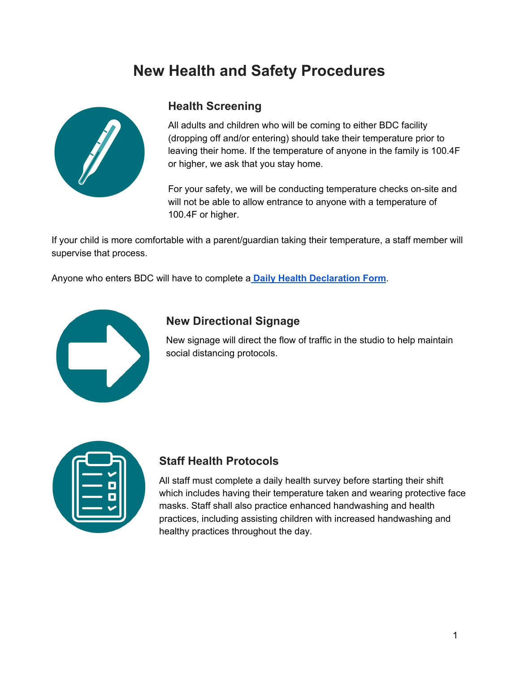## **New Health and Safety Procedures**



#### **Health Screening**

All adults and children who will be coming to either BDC facility (dropping off and/or entering) should take their temperature prior to leaving their home. If the temperature of anyone in the family is 100.4F or higher, we ask that you stay home.

For your safety, we will be conducting temperature checks on-site and will not be able to allow entrance to anyone with a temperature of 100.4F or higher.

If your child is more comfortable with a parent/guardian taking their temperature, a staff member will supervise that process.

Anyone who enters BDC will have to complete a **Daily Health [Declaration](https://docs.google.com/forms/d/e/1FAIpQLSdKKObrpmw-E5aKqSMewRjFiuEuLy3UmBSbpRDO1k77W-yROw/viewform?usp=sf_link) Form**.



#### **New Directional Signage**

New signage will direct the flow of traffic in the studio to help maintain social distancing protocols.



#### **Staff Health Protocols**

All staff must complete a daily health survey before starting their shift which includes having their temperature taken and wearing protective face masks. Staff shall also practice enhanced handwashing and health practices, including assisting children with increased handwashing and healthy practices throughout the day.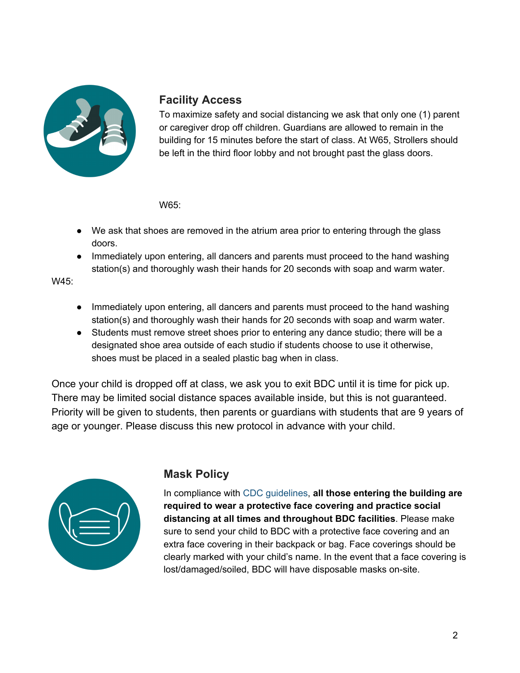

#### **Facility Access**

To maximize safety and social distancing we ask that only one (1) parent or caregiver drop off children. Guardians are allowed to remain in the building for 15 minutes before the start of class. At W65, Strollers should be left in the third floor lobby and not brought past the glass doors.

W65:

- We ask that shoes are removed in the atrium area prior to entering through the glass doors.
- Immediately upon entering, all dancers and parents must proceed to the hand washing station(s) and thoroughly wash their hands for 20 seconds with soap and warm water.

W45:

- Immediately upon entering, all dancers and parents must proceed to the hand washing station(s) and thoroughly wash their hands for 20 seconds with soap and warm water.
- Students must remove street shoes prior to entering any dance studio; there will be a designated shoe area outside of each studio if students choose to use it otherwise, shoes must be placed in a sealed plastic bag when in class.

Once your child is dropped off at class, we ask you to exit BDC until it is time for pick up. There may be limited social distance spaces available inside, but this is not guaranteed. Priority will be given to students, then parents or guardians with students that are 9 years of age or younger. Please discuss this new protocol in advance with your child.



## **Mask Policy**

In compliance with CDC [guidelines](https://www.cdc.gov/coronavirus/2019-ncov/community/schools-childcare/youth-sports.html), **all those entering the building are required to wear a protective face covering and practice social distancing at all times and throughout BDC facilities**. Please make sure to send your child to BDC with a protective face covering and an extra face covering in their backpack or bag. Face coverings should be clearly marked with your child's name. In the event that a face covering is lost/damaged/soiled, BDC will have disposable masks on-site.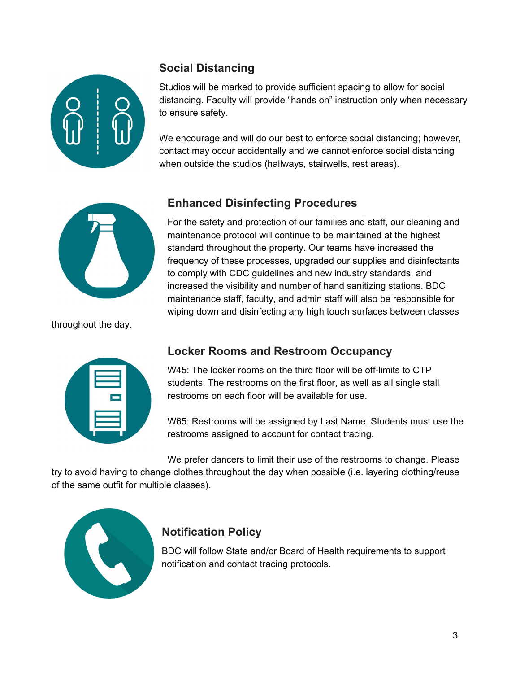

## **Social Distancing**

Studios will be marked to provide sufficient spacing to allow for social distancing. Faculty will provide "hands on" instruction only when necessary to ensure safety.

We encourage and will do our best to enforce social distancing; however, contact may occur accidentally and we cannot enforce social distancing when outside the studios (hallways, stairwells, rest areas).



throughout the day.

## **Enhanced Disinfecting Procedures**

For the safety and protection of our families and staff, our cleaning and maintenance protocol will continue to be maintained at the highest standard throughout the property. Our teams have increased the frequency of these processes, upgraded our supplies and disinfectants to comply with CDC guidelines and new industry standards, and increased the visibility and number of hand sanitizing stations. BDC maintenance staff, faculty, and admin staff will also be responsible for wiping down and disinfecting any high touch surfaces between classes

| ╾ |  |
|---|--|
|   |  |
|   |  |
|   |  |

## **Locker Rooms and Restroom Occupancy**

W45: The locker rooms on the third floor will be off-limits to CTP students. The restrooms on the first floor, as well as all single stall restrooms on each floor will be available for use.

W65: Restrooms will be assigned by Last Name. Students must use the restrooms assigned to account for contact tracing.

We prefer dancers to limit their use of the restrooms to change. Please

try to avoid having to change clothes throughout the day when possible (i.e. layering clothing/reuse of the same outfit for multiple classes).



## **Notification Policy**

BDC will follow State and/or Board of Health requirements to support notification and contact tracing protocols.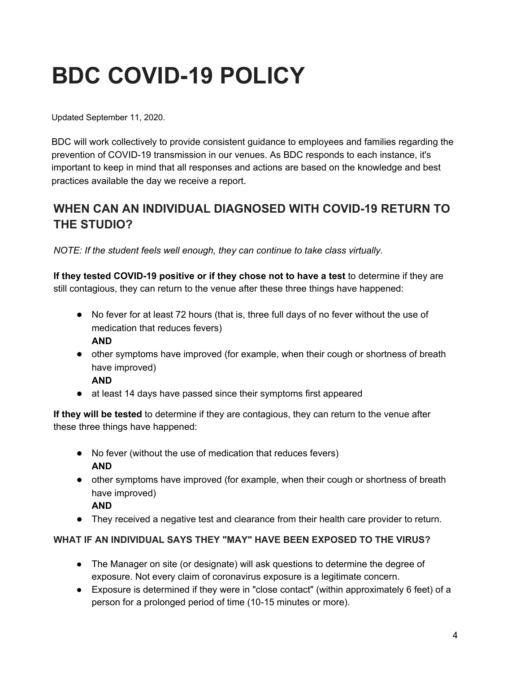# **BDC COVID-19 POLICY**

Updated September 11, 2020.

BDC will work collectively to provide consistent guidance to employees and families regarding the prevention of COVID-19 transmission in our venues. As BDC responds to each instance, it's important to keep in mind that all responses and actions are based on the knowledge and best practices available the day we receive a report.

## **WHEN CAN AN INDIVIDUAL DIAGNOSED WITH COVID-19 RETURN TO THE STUDIO?**

*NOTE: If the student feels well enough, they can continue to take class virtually.*

**If they tested COVID-19 positive or if they chose not to have a test** to determine if they are still contagious, they can return to the venue after these three things have happened:

- No fever for at least 72 hours (that is, three full days of no fever without the use of medication that reduces fevers) **AND**
- other symptoms have improved (for example, when their cough or shortness of breath have improved)
	- **AND**
- at least 14 days have passed since their symptoms first appeared

**If they will be tested** to determine if they are contagious, they can return to the venue after these three things have happened:

- No fever (without the use of medication that reduces fevers) **AND**
- other symptoms have improved (for example, when their cough or shortness of breath have improved)
	- **AND**
- They received a negative test and clearance from their health care provider to return.

#### **WHAT IF AN INDIVIDUAL SAYS THEY "MAY" HAVE BEEN EXPOSED TO THE VIRUS?**

- The Manager on site (or designate) will ask questions to determine the degree of exposure. Not every claim of coronavirus exposure is a legitimate concern.
- Exposure is determined if they were in "close contact" (within approximately 6 feet) of a person for a prolonged period of time (10-15 minutes or more).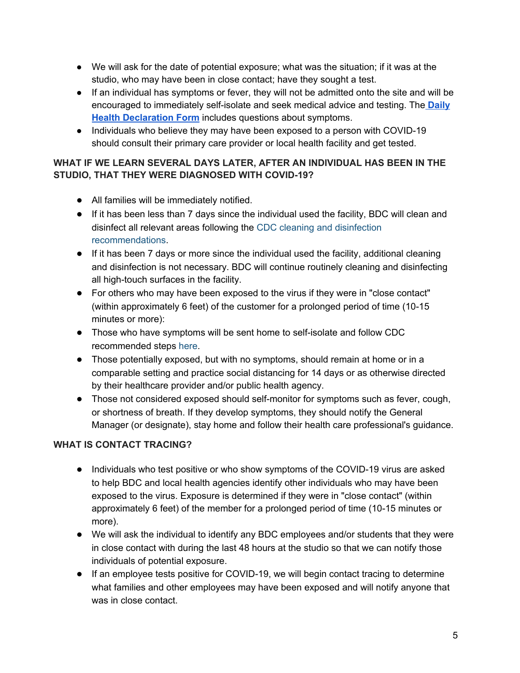- We will ask for the date of potential exposure; what was the situation; if it was at the studio, who may have been in close contact; have they sought a test.
- If an individual has symptoms or fever, they will not be admitted onto the site and will be encouraged to immediately self-isolate and seek medical advice and testing. The **[Daily](https://docs.google.com/forms/d/e/1FAIpQLSdKKObrpmw-E5aKqSMewRjFiuEuLy3UmBSbpRDO1k77W-yROw/viewform?usp=sf_link) Health [Declaration](https://docs.google.com/forms/d/e/1FAIpQLSdKKObrpmw-E5aKqSMewRjFiuEuLy3UmBSbpRDO1k77W-yROw/viewform?usp=sf_link) Form** includes questions about symptoms.
- Individuals who believe they may have been exposed to a person with COVID-19 should consult their primary care provider or local health facility and get tested.

#### **WHAT IF WE LEARN SEVERAL DAYS LATER, AFTER AN INDIVIDUAL HAS BEEN IN THE STUDIO, THAT THEY WERE DIAGNOSED WITH COVID-19?**

- All families will be immediately notified.
- If it has been less than 7 days since the individual used the facility, BDC will clean and disinfect all relevant areas following the CDC cleaning and [disinfection](https://www.cdc.gov/coronavirus/2019-ncov/community/disinfecting-building-facility.html) [recommendations](https://www.cdc.gov/coronavirus/2019-ncov/community/disinfecting-building-facility.html).
- If it has been 7 days or more since the individual used the facility, additional cleaning and disinfection is not necessary. BDC will continue routinely cleaning and disinfecting all high-touch surfaces in the facility.
- For others who may have been exposed to the virus if they were in "close contact" (within approximately 6 feet) of the customer for a prolonged period of time (10-15 minutes or more):
- Those who have symptoms will be sent home to self-isolate and follow CDC recommended steps [here](https://www.cdc.gov/coronavirus/2019-ncov/if-you-are-sick/steps-when-sick.html).
- Those potentially exposed, but with no symptoms, should remain at home or in a comparable setting and practice social distancing for 14 days or as otherwise directed by their healthcare provider and/or public health agency.
- Those not considered exposed should self-monitor for symptoms such as fever, cough, or shortness of breath. If they develop symptoms, they should notify the General Manager (or designate), stay home and follow their health care professional's guidance.

#### **WHAT IS CONTACT TRACING?**

- Individuals who test positive or who show symptoms of the COVID-19 virus are asked to help BDC and local health agencies identify other individuals who may have been exposed to the virus. Exposure is determined if they were in "close contact" (within approximately 6 feet) of the member for a prolonged period of time (10-15 minutes or more).
- We will ask the individual to identify any BDC employees and/or students that they were in close contact with during the last 48 hours at the studio so that we can notify those individuals of potential exposure.
- If an employee tests positive for COVID-19, we will begin contact tracing to determine what families and other employees may have been exposed and will notify anyone that was in close contact.